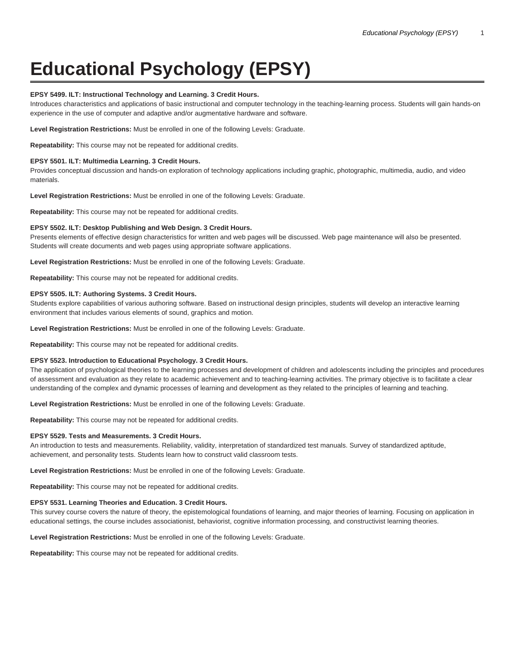# **Educational Psychology (EPSY)**

# **EPSY 5499. ILT: Instructional Technology and Learning. 3 Credit Hours.**

Introduces characteristics and applications of basic instructional and computer technology in the teaching-learning process. Students will gain hands-on experience in the use of computer and adaptive and/or augmentative hardware and software.

**Level Registration Restrictions:** Must be enrolled in one of the following Levels: Graduate.

**Repeatability:** This course may not be repeated for additional credits.

#### **EPSY 5501. ILT: Multimedia Learning. 3 Credit Hours.**

Provides conceptual discussion and hands-on exploration of technology applications including graphic, photographic, multimedia, audio, and video materials.

**Level Registration Restrictions:** Must be enrolled in one of the following Levels: Graduate.

**Repeatability:** This course may not be repeated for additional credits.

#### **EPSY 5502. ILT: Desktop Publishing and Web Design. 3 Credit Hours.**

Presents elements of effective design characteristics for written and web pages will be discussed. Web page maintenance will also be presented. Students will create documents and web pages using appropriate software applications.

**Level Registration Restrictions:** Must be enrolled in one of the following Levels: Graduate.

**Repeatability:** This course may not be repeated for additional credits.

## **EPSY 5505. ILT: Authoring Systems. 3 Credit Hours.**

Students explore capabilities of various authoring software. Based on instructional design principles, students will develop an interactive learning environment that includes various elements of sound, graphics and motion.

**Level Registration Restrictions:** Must be enrolled in one of the following Levels: Graduate.

**Repeatability:** This course may not be repeated for additional credits.

#### **EPSY 5523. Introduction to Educational Psychology. 3 Credit Hours.**

The application of psychological theories to the learning processes and development of children and adolescents including the principles and procedures of assessment and evaluation as they relate to academic achievement and to teaching-learning activities. The primary objective is to facilitate a clear understanding of the complex and dynamic processes of learning and development as they related to the principles of learning and teaching.

**Level Registration Restrictions:** Must be enrolled in one of the following Levels: Graduate.

**Repeatability:** This course may not be repeated for additional credits.

### **EPSY 5529. Tests and Measurements. 3 Credit Hours.**

An introduction to tests and measurements. Reliability, validity, interpretation of standardized test manuals. Survey of standardized aptitude, achievement, and personality tests. Students learn how to construct valid classroom tests.

**Level Registration Restrictions:** Must be enrolled in one of the following Levels: Graduate.

**Repeatability:** This course may not be repeated for additional credits.

## **EPSY 5531. Learning Theories and Education. 3 Credit Hours.**

This survey course covers the nature of theory, the epistemological foundations of learning, and major theories of learning. Focusing on application in educational settings, the course includes associationist, behaviorist, cognitive information processing, and constructivist learning theories.

**Level Registration Restrictions:** Must be enrolled in one of the following Levels: Graduate.

**Repeatability:** This course may not be repeated for additional credits.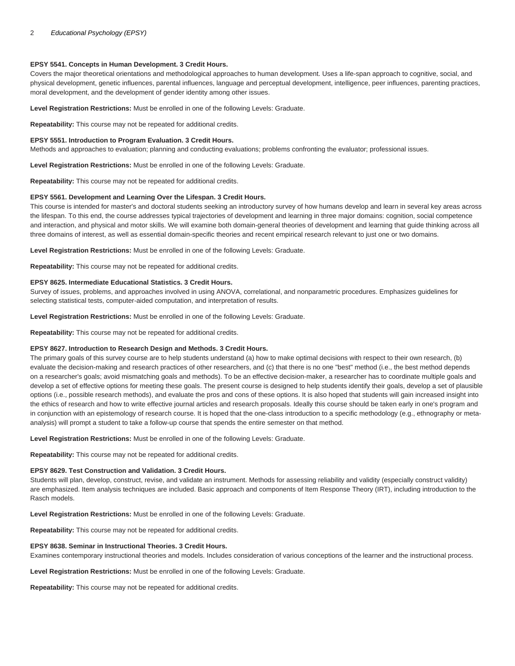# **EPSY 5541. Concepts in Human Development. 3 Credit Hours.**

Covers the major theoretical orientations and methodological approaches to human development. Uses a life-span approach to cognitive, social, and physical development, genetic influences, parental influences, language and perceptual development, intelligence, peer influences, parenting practices, moral development, and the development of gender identity among other issues.

**Level Registration Restrictions:** Must be enrolled in one of the following Levels: Graduate.

**Repeatability:** This course may not be repeated for additional credits.

## **EPSY 5551. Introduction to Program Evaluation. 3 Credit Hours.**

Methods and approaches to evaluation; planning and conducting evaluations; problems confronting the evaluator; professional issues.

**Level Registration Restrictions:** Must be enrolled in one of the following Levels: Graduate.

**Repeatability:** This course may not be repeated for additional credits.

# **EPSY 5561. Development and Learning Over the Lifespan. 3 Credit Hours.**

This course is intended for master's and doctoral students seeking an introductory survey of how humans develop and learn in several key areas across the lifespan. To this end, the course addresses typical trajectories of development and learning in three major domains: cognition, social competence and interaction, and physical and motor skills. We will examine both domain-general theories of development and learning that guide thinking across all three domains of interest, as well as essential domain-specific theories and recent empirical research relevant to just one or two domains.

**Level Registration Restrictions:** Must be enrolled in one of the following Levels: Graduate.

**Repeatability:** This course may not be repeated for additional credits.

# **EPSY 8625. Intermediate Educational Statistics. 3 Credit Hours.**

Survey of issues, problems, and approaches involved in using ANOVA, correlational, and nonparametric procedures. Emphasizes guidelines for selecting statistical tests, computer-aided computation, and interpretation of results.

**Level Registration Restrictions:** Must be enrolled in one of the following Levels: Graduate.

**Repeatability:** This course may not be repeated for additional credits.

# **EPSY 8627. Introduction to Research Design and Methods. 3 Credit Hours.**

The primary goals of this survey course are to help students understand (a) how to make optimal decisions with respect to their own research, (b) evaluate the decision-making and research practices of other researchers, and (c) that there is no one "best" method (i.e., the best method depends on a researcher's goals; avoid mismatching goals and methods). To be an effective decision-maker, a researcher has to coordinate multiple goals and develop a set of effective options for meeting these goals. The present course is designed to help students identify their goals, develop a set of plausible options (i.e., possible research methods), and evaluate the pros and cons of these options. It is also hoped that students will gain increased insight into the ethics of research and how to write effective journal articles and research proposals. Ideally this course should be taken early in one's program and in conjunction with an epistemology of research course. It is hoped that the one-class introduction to a specific methodology (e.g., ethnography or metaanalysis) will prompt a student to take a follow-up course that spends the entire semester on that method.

**Level Registration Restrictions:** Must be enrolled in one of the following Levels: Graduate.

**Repeatability:** This course may not be repeated for additional credits.

# **EPSY 8629. Test Construction and Validation. 3 Credit Hours.**

Students will plan, develop, construct, revise, and validate an instrument. Methods for assessing reliability and validity (especially construct validity) are emphasized. Item analysis techniques are included. Basic approach and components of Item Response Theory (IRT), including introduction to the Rasch models.

**Level Registration Restrictions:** Must be enrolled in one of the following Levels: Graduate.

**Repeatability:** This course may not be repeated for additional credits.

# **EPSY 8638. Seminar in Instructional Theories. 3 Credit Hours.**

Examines contemporary instructional theories and models. Includes consideration of various conceptions of the learner and the instructional process.

**Level Registration Restrictions:** Must be enrolled in one of the following Levels: Graduate.

**Repeatability:** This course may not be repeated for additional credits.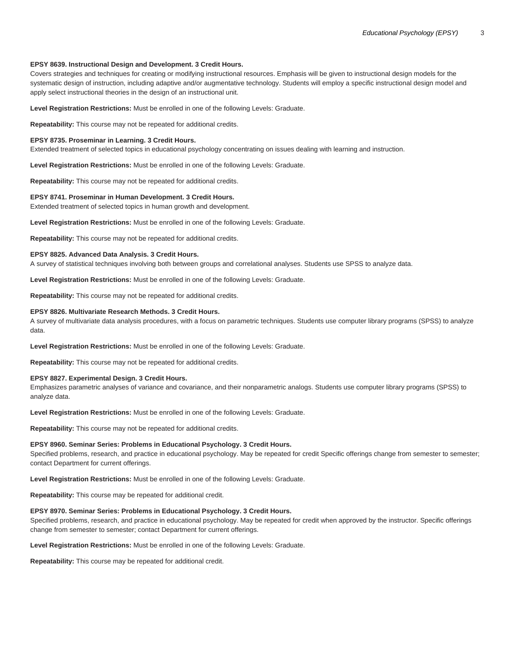# **EPSY 8639. Instructional Design and Development. 3 Credit Hours.**

Covers strategies and techniques for creating or modifying instructional resources. Emphasis will be given to instructional design models for the systematic design of instruction, including adaptive and/or augmentative technology. Students will employ a specific instructional design model and apply select instructional theories in the design of an instructional unit.

**Level Registration Restrictions:** Must be enrolled in one of the following Levels: Graduate.

**Repeatability:** This course may not be repeated for additional credits.

### **EPSY 8735. Proseminar in Learning. 3 Credit Hours.**

Extended treatment of selected topics in educational psychology concentrating on issues dealing with learning and instruction.

**Level Registration Restrictions:** Must be enrolled in one of the following Levels: Graduate.

**Repeatability:** This course may not be repeated for additional credits.

# **EPSY 8741. Proseminar in Human Development. 3 Credit Hours.**

Extended treatment of selected topics in human growth and development.

**Level Registration Restrictions:** Must be enrolled in one of the following Levels: Graduate.

**Repeatability:** This course may not be repeated for additional credits.

## **EPSY 8825. Advanced Data Analysis. 3 Credit Hours.**

A survey of statistical techniques involving both between groups and correlational analyses. Students use SPSS to analyze data.

**Level Registration Restrictions:** Must be enrolled in one of the following Levels: Graduate.

**Repeatability:** This course may not be repeated for additional credits.

## **EPSY 8826. Multivariate Research Methods. 3 Credit Hours.**

A survey of multivariate data analysis procedures, with a focus on parametric techniques. Students use computer library programs (SPSS) to analyze data.

**Level Registration Restrictions:** Must be enrolled in one of the following Levels: Graduate.

**Repeatability:** This course may not be repeated for additional credits.

# **EPSY 8827. Experimental Design. 3 Credit Hours.**

Emphasizes parametric analyses of variance and covariance, and their nonparametric analogs. Students use computer library programs (SPSS) to analyze data.

**Level Registration Restrictions:** Must be enrolled in one of the following Levels: Graduate.

**Repeatability:** This course may not be repeated for additional credits.

### **EPSY 8960. Seminar Series: Problems in Educational Psychology. 3 Credit Hours.**

Specified problems, research, and practice in educational psychology. May be repeated for credit Specific offerings change from semester to semester; contact Department for current offerings.

**Level Registration Restrictions:** Must be enrolled in one of the following Levels: Graduate.

**Repeatability:** This course may be repeated for additional credit.

# **EPSY 8970. Seminar Series: Problems in Educational Psychology. 3 Credit Hours.**

Specified problems, research, and practice in educational psychology. May be repeated for credit when approved by the instructor. Specific offerings change from semester to semester; contact Department for current offerings.

**Level Registration Restrictions:** Must be enrolled in one of the following Levels: Graduate.

**Repeatability:** This course may be repeated for additional credit.